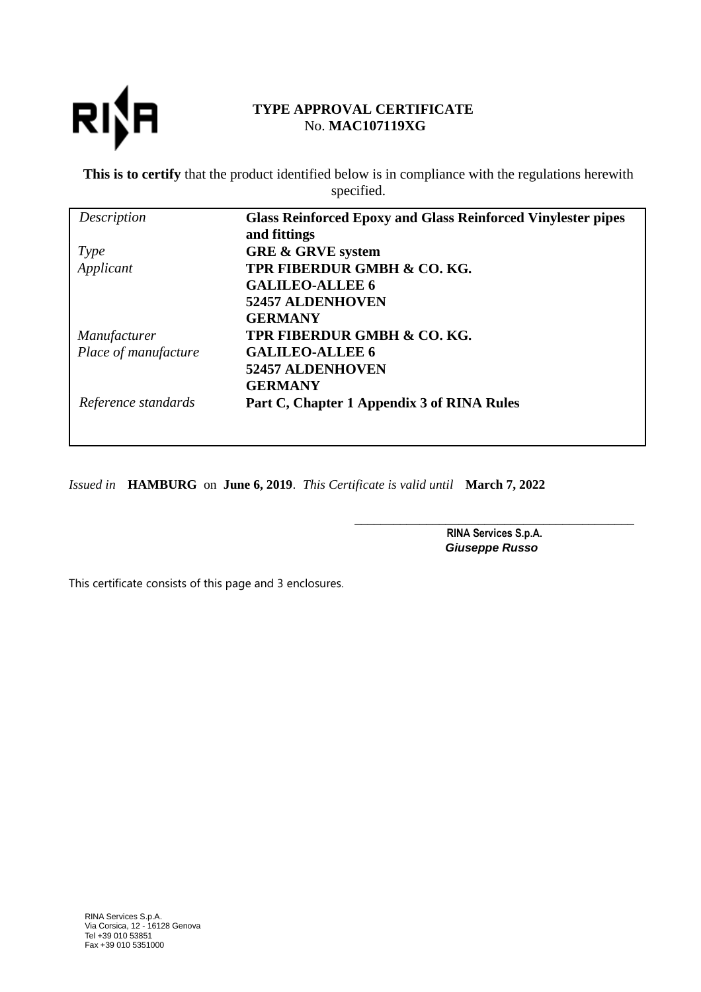

## **TYPE APPROVAL CERTIFICATE** No. **MAC107119XG**

**This is to certify** that the product identified below is in compliance with the regulations herewith specified.

| Description          | <b>Glass Reinforced Epoxy and Glass Reinforced Vinylester pipes</b> |  |
|----------------------|---------------------------------------------------------------------|--|
|                      | and fittings                                                        |  |
| <i>Type</i>          | <b>GRE &amp; GRVE system</b>                                        |  |
| Applicant            | TPR FIBERDUR GMBH & CO. KG.                                         |  |
|                      | <b>GALILEO-ALLEE 6</b>                                              |  |
|                      | <b>52457 ALDENHOVEN</b>                                             |  |
|                      | <b>GERMANY</b>                                                      |  |
| Manufacturer         | TPR FIBERDUR GMBH & CO. KG.                                         |  |
| Place of manufacture | <b>GALILEO-ALLEE 6</b>                                              |  |
|                      | <b>52457 ALDENHOVEN</b>                                             |  |
|                      | <b>GERMANY</b>                                                      |  |
| Reference standards  | Part C, Chapter 1 Appendix 3 of RINA Rules                          |  |
|                      |                                                                     |  |

*Issued in* **HAMBURG** on **June 6, 2019**. *This Certificate is valid until* **March 7, 2022**

\_\_\_\_\_\_\_\_\_\_\_\_\_\_\_\_\_\_\_\_\_\_\_\_\_\_\_\_\_\_\_\_\_\_\_\_\_\_\_\_\_\_\_ RINA Services S.p.A. **Giuseppe Russo**

This certificate consists of this page and 3 enclosures.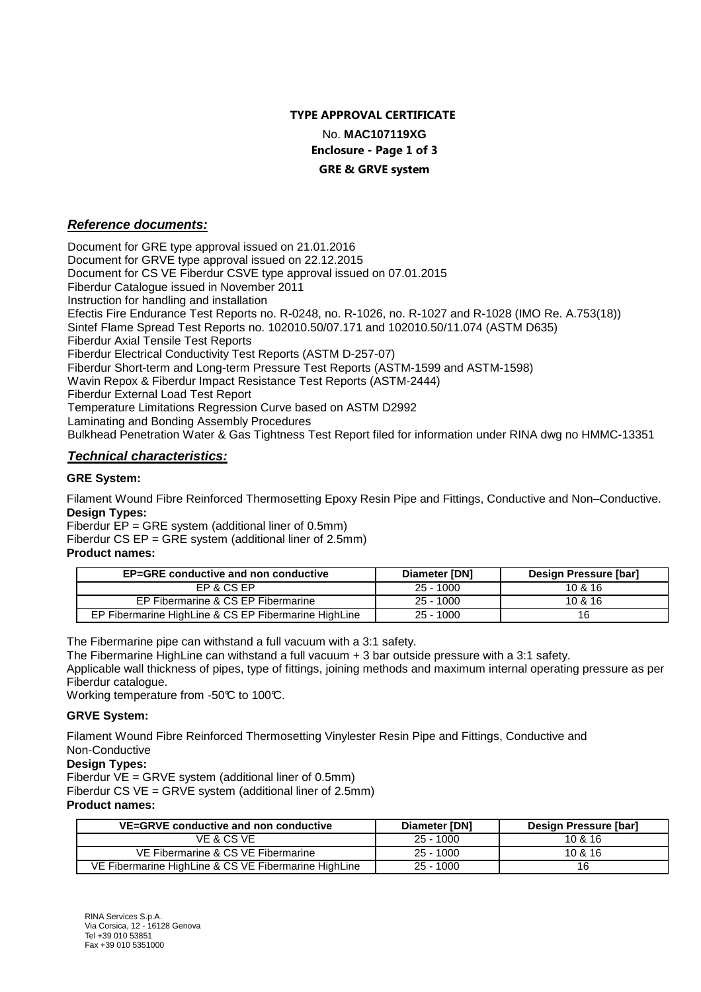# TYPE APPROVAL CERTIFICATE No. **MAC107119XG**

### Enclosure - Page 1 of 3 GRE & GRVE system

## **Reference documents:**

Document for GRE type approval issued on 21.01.2016 Document for GRVE type approval issued on 22.12.2015 Document for CS VE Fiberdur CSVE type approval issued on 07.01.2015 Fiberdur Catalogue issued in November 2011 Instruction for handling and installation Efectis Fire Endurance Test Reports no. R-0248, no. R-1026, no. R-1027 and R-1028 (IMO Re. A.753(18)) Sintef Flame Spread Test Reports no. 102010.50/07.171 and 102010.50/11.074 (ASTM D635) Fiberdur Axial Tensile Test Reports Fiberdur Electrical Conductivity Test Reports (ASTM D-257-07) Fiberdur Short-term and Long-term Pressure Test Reports (ASTM-1599 and ASTM-1598) Wavin Repox & Fiberdur Impact Resistance Test Reports (ASTM-2444) Fiberdur External Load Test Report Temperature Limitations Regression Curve based on ASTM D2992 Laminating and Bonding Assembly Procedures Bulkhead Penetration Water & Gas Tightness Test Report filed for information under RINA dwg no HMMC-13351

## **Technical characteristics:**

## **GRE System:**

Filament Wound Fibre Reinforced Thermosetting Epoxy Resin Pipe and Fittings, Conductive and Non–Conductive. **Design Types:**

Fiberdur  $\overline{EP}$  = GRE system (additional liner of 0.5mm)

Fiberdur CS EP = GRE system (additional liner of 2.5mm)

## **Product names:**

| <b>EP=GRE conductive and non conductive</b>          | Diameter [DN] | Design Pressure [bar] |
|------------------------------------------------------|---------------|-----------------------|
| EP & CS EP                                           | $25 - 1000$   | 10 & 16               |
| EP Fibermarine & CS EP Fibermarine                   | $25 - 1000$   | 10 & 16               |
| EP Fibermarine HighLine & CS EP Fibermarine HighLine | $25 - 1000$   | 16                    |

The Fibermarine pipe can withstand a full vacuum with a 3:1 safety.

The Fibermarine HighLine can withstand a full vacuum + 3 bar outside pressure with a 3:1 safety.

Applicable wall thickness of pipes, type of fittings, joining methods and maximum internal operating pressure as per Fiberdur catalogue.

Working temperature from -50°C to 100°C.

## **GRVE System:**

Filament Wound Fibre Reinforced Thermosetting Vinylester Resin Pipe and Fittings, Conductive and Non-Conductive

## **Design Types:**

Fiberdur VE = GRVE system (additional liner of 0.5mm)

Fiberdur CS VE = GRVE system (additional liner of 2.5mm)

## **Product names:**

| VE=GRVE conductive and non conductive                | Diameter [DN] | Design Pressure [bar] |
|------------------------------------------------------|---------------|-----------------------|
| VE & CS VE                                           | $25 - 1000$   | 10 & 16               |
| VE Fibermarine & CS VE Fibermarine                   | $25 - 1000$   | 10 & 16               |
| VE Fibermarine HighLine & CS VE Fibermarine HighLine | $25 - 1000$   | 16                    |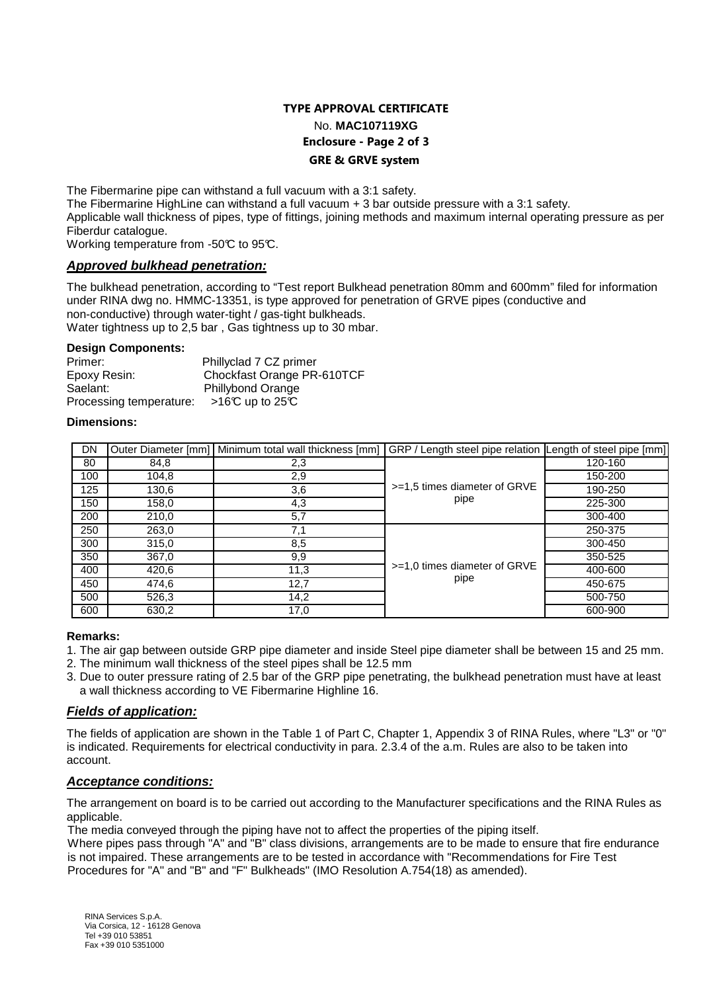## TYPE APPROVAL CERTIFICATE No. **MAC107119XG** Enclosure - Page 2 of 3 GRE & GRVE system

The Fibermarine pipe can withstand a full vacuum with a 3:1 safety.

The Fibermarine HighLine can withstand a full vacuum + 3 bar outside pressure with a 3:1 safety.

Applicable wall thickness of pipes, type of fittings, joining methods and maximum internal operating pressure as per Fiberdur catalogue.

Working temperature from -50°C to 95°C.

### **Approved bulkhead penetration:**

The bulkhead penetration, according to "Test report Bulkhead penetration 80mm and 600mm" filed for information under RINA dwg no. HMMC-13351, is type approved for penetration of GRVE pipes (conductive and non-conductive) through water-tight / gas-tight bulkheads. Water tightness up to 2,5 bar , Gas tightness up to 30 mbar.

**Design Components:**

| Phillyclad 7 CZ primer                    |
|-------------------------------------------|
| Chockfast Orange PR-610TCF                |
| <b>Phillybond Orange</b>                  |
| >16℃ up to 25℃<br>Processing temperature: |
|                                           |

#### **Dimensions:**

| DN  |       | Outer Diameter [mm]   Minimum total wall thickness [mm]   GRP / Length steel pipe relation   Length of steel pipe [mm] |                                        |         |
|-----|-------|------------------------------------------------------------------------------------------------------------------------|----------------------------------------|---------|
| 80  | 84,8  | 2,3                                                                                                                    | >=1,5 times diameter of GRVE<br>pipe   | 120-160 |
| 100 | 104,8 | 2,9                                                                                                                    |                                        | 150-200 |
| 125 | 130,6 | 3,6                                                                                                                    |                                        | 190-250 |
| 150 | 158,0 | 4,3                                                                                                                    |                                        | 225-300 |
| 200 | 210,0 | 5,7                                                                                                                    |                                        | 300-400 |
| 250 | 263,0 | 7,1                                                                                                                    | $>=1.0$ times diameter of GRVE<br>pipe | 250-375 |
| 300 | 315,0 | 8,5                                                                                                                    |                                        | 300-450 |
| 350 | 367,0 | 9,9                                                                                                                    |                                        | 350-525 |
| 400 | 420,6 | 11,3                                                                                                                   |                                        | 400-600 |
| 450 | 474,6 | 12,7                                                                                                                   |                                        | 450-675 |
| 500 | 526,3 | 14,2                                                                                                                   |                                        | 500-750 |
| 600 | 630,2 | 17,0                                                                                                                   |                                        | 600-900 |

### **Remarks:**

- 1. The air gap between outside GRP pipe diameter and inside Steel pipe diameter shall be between 15 and 25 mm.
- 2. The minimum wall thickness of the steel pipes shall be 12.5 mm
- 3. Due to outer pressure rating of 2.5 bar of the GRP pipe penetrating, the bulkhead penetration must have at least a wall thickness according to VE Fibermarine Highline 16.

### **Fields of application:**

The fields of application are shown in the Table 1 of Part C, Chapter 1, Appendix 3 of RINA Rules, where "L3" or "0" is indicated. Requirements for electrical conductivity in para. 2.3.4 of the a.m. Rules are also to be taken into account.

## **Acceptance conditions:**

The arrangement on board is to be carried out according to the Manufacturer specifications and the RINA Rules as applicable.

The media conveyed through the piping have not to affect the properties of the piping itself.

Where pipes pass through "A" and "B" class divisions, arrangements are to be made to ensure that fire endurance is not impaired. These arrangements are to be tested in accordance with "Recommendations for Fire Test Procedures for "A" and "B" and "F" Bulkheads" (IMO Resolution A.754(18) as amended).